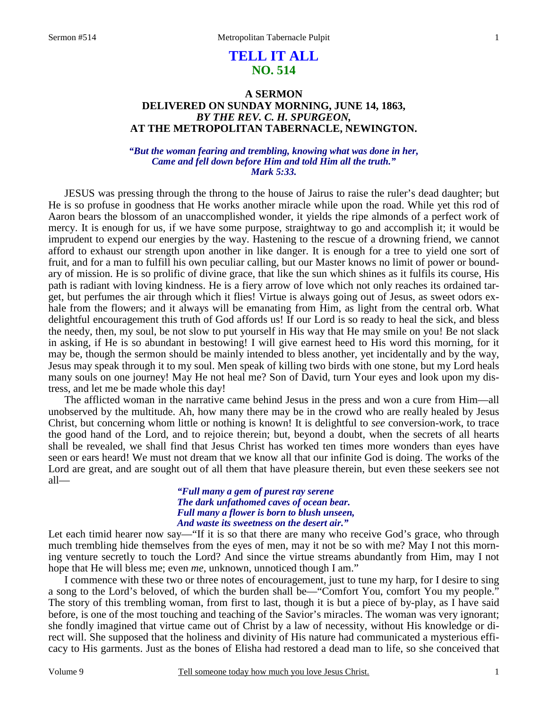# **TELL IT ALL NO. 514**

## **A SERMON DELIVERED ON SUNDAY MORNING, JUNE 14, 1863,**  *BY THE REV. C. H. SPURGEON,*  **AT THE METROPOLITAN TABERNACLE, NEWINGTON.**

### *"But the woman fearing and trembling, knowing what was done in her, Came and fell down before Him and told Him all the truth." Mark 5:33.*

JESUS was pressing through the throng to the house of Jairus to raise the ruler's dead daughter; but He is so profuse in goodness that He works another miracle while upon the road. While yet this rod of Aaron bears the blossom of an unaccomplished wonder, it yields the ripe almonds of a perfect work of mercy. It is enough for us, if we have some purpose, straightway to go and accomplish it; it would be imprudent to expend our energies by the way. Hastening to the rescue of a drowning friend, we cannot afford to exhaust our strength upon another in like danger. It is enough for a tree to yield one sort of fruit, and for a man to fulfill his own peculiar calling, but our Master knows no limit of power or boundary of mission. He is so prolific of divine grace, that like the sun which shines as it fulfils its course, His path is radiant with loving kindness. He is a fiery arrow of love which not only reaches its ordained target, but perfumes the air through which it flies! Virtue is always going out of Jesus, as sweet odors exhale from the flowers; and it always will be emanating from Him, as light from the central orb. What delightful encouragement this truth of God affords us! If our Lord is so ready to heal the sick, and bless the needy, then, my soul, be not slow to put yourself in His way that He may smile on you! Be not slack in asking, if He is so abundant in bestowing! I will give earnest heed to His word this morning, for it may be, though the sermon should be mainly intended to bless another, yet incidentally and by the way, Jesus may speak through it to my soul. Men speak of killing two birds with one stone, but my Lord heals many souls on one journey! May He not heal me? Son of David, turn Your eyes and look upon my distress, and let me be made whole this day!

The afflicted woman in the narrative came behind Jesus in the press and won a cure from Him—all unobserved by the multitude. Ah, how many there may be in the crowd who are really healed by Jesus Christ, but concerning whom little or nothing is known! It is delightful to *see* conversion-work, to trace the good hand of the Lord, and to rejoice therein; but, beyond a doubt, when the secrets of all hearts shall be revealed, we shall find that Jesus Christ has worked ten times more wonders than eyes have seen or ears heard! We must not dream that we know all that our infinite God is doing. The works of the Lord are great, and are sought out of all them that have pleasure therein, but even these seekers see not all—

### *"Full many a gem of purest ray serene The dark unfathomed caves of ocean bear. Full many a flower is born to blush unseen, And waste its sweetness on the desert air."*

Let each timid hearer now say—"If it is so that there are many who receive God's grace, who through much trembling hide themselves from the eyes of men, may it not be so with me? May I not this morning venture secretly to touch the Lord? And since the virtue streams abundantly from Him, may I not hope that He will bless me; even *me,* unknown, unnoticed though I am."

I commence with these two or three notes of encouragement, just to tune my harp, for I desire to sing a song to the Lord's beloved, of which the burden shall be—"Comfort You, comfort You my people." The story of this trembling woman, from first to last, though it is but a piece of by-play, as I have said before, is one of the most touching and teaching of the Savior's miracles. The woman was very ignorant; she fondly imagined that virtue came out of Christ by a law of necessity, without His knowledge or direct will. She supposed that the holiness and divinity of His nature had communicated a mysterious efficacy to His garments. Just as the bones of Elisha had restored a dead man to life, so she conceived that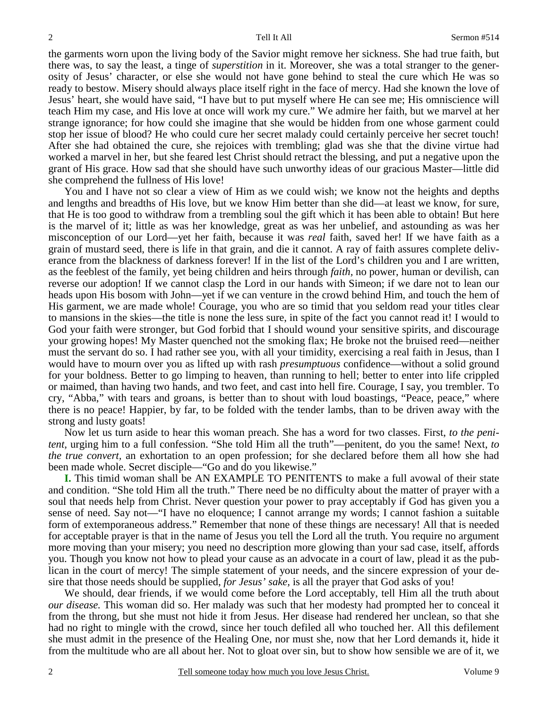the garments worn upon the living body of the Savior might remove her sickness. She had true faith, but there was, to say the least, a tinge of *superstition* in it. Moreover, she was a total stranger to the generosity of Jesus' character, or else she would not have gone behind to steal the cure which He was so ready to bestow. Misery should always place itself right in the face of mercy. Had she known the love of Jesus' heart, she would have said, "I have but to put myself where He can see me; His omniscience will teach Him my case, and His love at once will work my cure." We admire her faith, but we marvel at her strange ignorance; for how could she imagine that she would be hidden from one whose garment could stop her issue of blood? He who could cure her secret malady could certainly perceive her secret touch! After she had obtained the cure, she rejoices with trembling; glad was she that the divine virtue had worked a marvel in her, but she feared lest Christ should retract the blessing, and put a negative upon the grant of His grace. How sad that she should have such unworthy ideas of our gracious Master—little did she comprehend the fullness of His love!

You and I have not so clear a view of Him as we could wish; we know not the heights and depths and lengths and breadths of His love, but we know Him better than she did—at least we know, for sure, that He is too good to withdraw from a trembling soul the gift which it has been able to obtain! But here is the marvel of it; little as was her knowledge, great as was her unbelief, and astounding as was her misconception of our Lord—yet her faith, because it was *real* faith, saved her! If we have faith as a grain of mustard seed, there is life in that grain, and die it cannot. A ray of faith assures complete deliverance from the blackness of darkness forever! If in the list of the Lord's children you and I are written, as the feeblest of the family, yet being children and heirs through *faith,* no power, human or devilish, can reverse our adoption! If we cannot clasp the Lord in our hands with Simeon; if we dare not to lean our heads upon His bosom with John—yet if we can venture in the crowd behind Him, and touch the hem of His garment, we are made whole! Courage, you who are so timid that you seldom read your titles clear to mansions in the skies—the title is none the less sure, in spite of the fact you cannot read it! I would to God your faith were stronger, but God forbid that I should wound your sensitive spirits, and discourage your growing hopes! My Master quenched not the smoking flax; He broke not the bruised reed—neither must the servant do so. I had rather see you, with all your timidity, exercising a real faith in Jesus, than I would have to mourn over you as lifted up with rash *presumptuous* confidence—without a solid ground for your boldness. Better to go limping to heaven, than running to hell; better to enter into life crippled or maimed, than having two hands, and two feet, and cast into hell fire. Courage, I say, you trembler. To cry, "Abba," with tears and groans, is better than to shout with loud boastings, "Peace, peace," where there is no peace! Happier, by far, to be folded with the tender lambs, than to be driven away with the strong and lusty goats!

Now let us turn aside to hear this woman preach. She has a word for two classes. First, *to the penitent,* urging him to a full confession. "She told Him all the truth"—penitent, do you the same! Next, *to the true convert,* an exhortation to an open profession; for she declared before them all how she had been made whole. Secret disciple—"Go and do you likewise."

**I.** This timid woman shall be AN EXAMPLE TO PENITENTS to make a full avowal of their state and condition. "She told Him all the truth." There need be no difficulty about the matter of prayer with a soul that needs help from Christ. Never question your power to pray acceptably if God has given you a sense of need. Say not—"I have no eloquence; I cannot arrange my words; I cannot fashion a suitable form of extemporaneous address." Remember that none of these things are necessary! All that is needed for acceptable prayer is that in the name of Jesus you tell the Lord all the truth. You require no argument more moving than your misery; you need no description more glowing than your sad case, itself, affords you. Though you know not how to plead your cause as an advocate in a court of law, plead it as the publican in the court of mercy! The simple statement of your needs, and the sincere expression of your desire that those needs should be supplied, *for Jesus' sake,* is all the prayer that God asks of you!

We should, dear friends, if we would come before the Lord acceptably, tell Him all the truth about *our disease.* This woman did so. Her malady was such that her modesty had prompted her to conceal it from the throng, but she must not hide it from Jesus. Her disease had rendered her unclean, so that she had no right to mingle with the crowd, since her touch defiled all who touched her. All this defilement she must admit in the presence of the Healing One, nor must she, now that her Lord demands it, hide it from the multitude who are all about her. Not to gloat over sin, but to show how sensible we are of it, we

2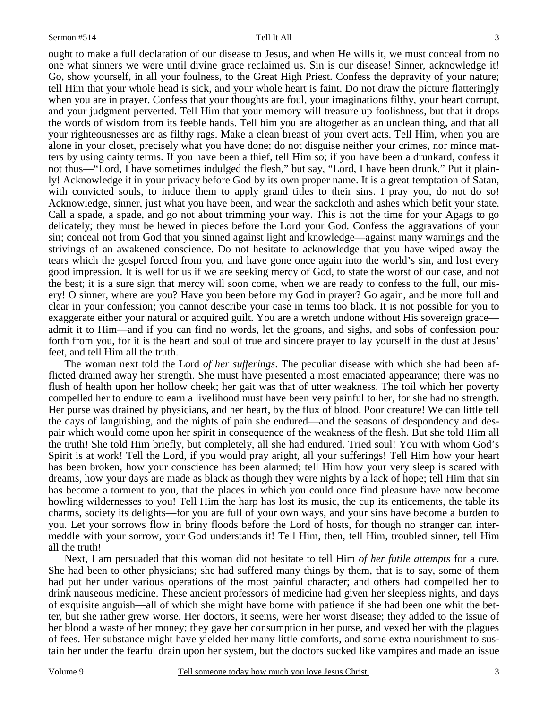ought to make a full declaration of our disease to Jesus, and when He wills it, we must conceal from no one what sinners we were until divine grace reclaimed us. Sin is our disease! Sinner, acknowledge it! Go, show yourself, in all your foulness, to the Great High Priest. Confess the depravity of your nature; tell Him that your whole head is sick, and your whole heart is faint. Do not draw the picture flatteringly when you are in prayer. Confess that your thoughts are foul, your imaginations filthy, your heart corrupt, and your judgment perverted. Tell Him that your memory will treasure up foolishness, but that it drops the words of wisdom from its feeble hands. Tell him you are altogether as an unclean thing, and that all your righteousnesses are as filthy rags. Make a clean breast of your overt acts. Tell Him, when you are alone in your closet, precisely what you have done; do not disguise neither your crimes, nor mince matters by using dainty terms. If you have been a thief, tell Him so; if you have been a drunkard, confess it not thus—"Lord, I have sometimes indulged the flesh," but say, "Lord, I have been drunk." Put it plainly! Acknowledge it in your privacy before God by its own proper name. It is a great temptation of Satan, with convicted souls, to induce them to apply grand titles to their sins. I pray you, do not do so! Acknowledge, sinner, just what you have been, and wear the sackcloth and ashes which befit your state. Call a spade, a spade, and go not about trimming your way. This is not the time for your Agags to go delicately; they must be hewed in pieces before the Lord your God. Confess the aggravations of your sin; conceal not from God that you sinned against light and knowledge—against many warnings and the strivings of an awakened conscience. Do not hesitate to acknowledge that you have wiped away the tears which the gospel forced from you, and have gone once again into the world's sin, and lost every good impression. It is well for us if we are seeking mercy of God, to state the worst of our case, and not the best; it is a sure sign that mercy will soon come, when we are ready to confess to the full, our misery! O sinner, where are you? Have you been before my God in prayer? Go again, and be more full and clear in your confession; you cannot describe your case in terms too black. It is not possible for you to exaggerate either your natural or acquired guilt. You are a wretch undone without His sovereign grace admit it to Him—and if you can find no words, let the groans, and sighs, and sobs of confession pour forth from you, for it is the heart and soul of true and sincere prayer to lay yourself in the dust at Jesus' feet, and tell Him all the truth.

The woman next told the Lord *of her sufferings*. The peculiar disease with which she had been afflicted drained away her strength. She must have presented a most emaciated appearance; there was no flush of health upon her hollow cheek; her gait was that of utter weakness. The toil which her poverty compelled her to endure to earn a livelihood must have been very painful to her, for she had no strength. Her purse was drained by physicians, and her heart, by the flux of blood. Poor creature! We can little tell the days of languishing, and the nights of pain she endured—and the seasons of despondency and despair which would come upon her spirit in consequence of the weakness of the flesh. But she told Him all the truth! She told Him briefly, but completely, all she had endured. Tried soul! You with whom God's Spirit is at work! Tell the Lord, if you would pray aright, all your sufferings! Tell Him how your heart has been broken, how your conscience has been alarmed; tell Him how your very sleep is scared with dreams, how your days are made as black as though they were nights by a lack of hope; tell Him that sin has become a torment to you, that the places in which you could once find pleasure have now become howling wildernesses to you! Tell Him the harp has lost its music, the cup its enticements, the table its charms, society its delights—for you are full of your own ways, and your sins have become a burden to you. Let your sorrows flow in briny floods before the Lord of hosts, for though no stranger can intermeddle with your sorrow, your God understands it! Tell Him, then, tell Him, troubled sinner, tell Him all the truth!

Next, I am persuaded that this woman did not hesitate to tell Him *of her futile attempts* for a cure. She had been to other physicians; she had suffered many things by them, that is to say, some of them had put her under various operations of the most painful character; and others had compelled her to drink nauseous medicine. These ancient professors of medicine had given her sleepless nights, and days of exquisite anguish—all of which she might have borne with patience if she had been one whit the better, but she rather grew worse. Her doctors, it seems, were her worst disease; they added to the issue of her blood a waste of her money; they gave her consumption in her purse, and vexed her with the plagues of fees. Her substance might have yielded her many little comforts, and some extra nourishment to sustain her under the fearful drain upon her system, but the doctors sucked like vampires and made an issue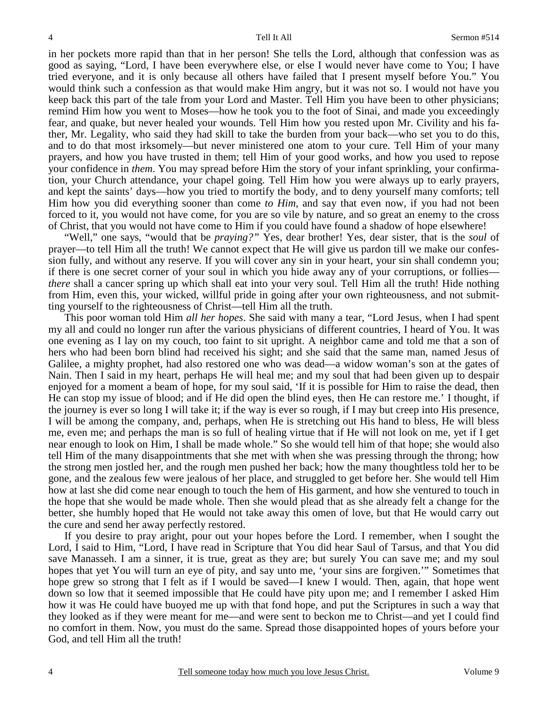in her pockets more rapid than that in her person! She tells the Lord, although that confession was as good as saying, "Lord, I have been everywhere else, or else I would never have come to You; I have tried everyone, and it is only because all others have failed that I present myself before You." You would think such a confession as that would make Him angry, but it was not so. I would not have you keep back this part of the tale from your Lord and Master. Tell Him you have been to other physicians; remind Him how you went to Moses—how he took you to the foot of Sinai, and made you exceedingly fear, and quake, but never healed your wounds. Tell Him how you rested upon Mr. Civility and his father, Mr. Legality, who said they had skill to take the burden from your back—who set you to do this, and to do that most irksomely—but never ministered one atom to your cure. Tell Him of your many prayers, and how you have trusted in them; tell Him of your good works, and how you used to repose your confidence in *them*. You may spread before Him the story of your infant sprinkling, your confirmation, your Church attendance, your chapel going. Tell Him how you were always up to early prayers, and kept the saints' days—how you tried to mortify the body, and to deny yourself many comforts; tell Him how you did everything sooner than come *to Him,* and say that even now, if you had not been forced to it, you would not have come, for you are so vile by nature, and so great an enemy to the cross of Christ, that you would not have come to Him if you could have found a shadow of hope elsewhere!

"Well," one says, "would that be *praying?"* Yes, dear brother! Yes, dear sister, that is the *soul* of prayer—to tell Him all the truth! We cannot expect that He will give us pardon till we make our confession fully, and without any reserve. If you will cover any sin in your heart, your sin shall condemn you; if there is one secret corner of your soul in which you hide away any of your corruptions, or follies *there* shall a cancer spring up which shall eat into your very soul. Tell Him all the truth! Hide nothing from Him, even this, your wicked, willful pride in going after your own righteousness, and not submitting yourself to the righteousness of Christ—tell Him all the truth.

This poor woman told Him *all her hopes*. She said with many a tear, "Lord Jesus, when I had spent my all and could no longer run after the various physicians of different countries, I heard of You. It was one evening as I lay on my couch, too faint to sit upright. A neighbor came and told me that a son of hers who had been born blind had received his sight; and she said that the same man, named Jesus of Galilee, a mighty prophet, had also restored one who was dead—a widow woman's son at the gates of Nain. Then I said in my heart, perhaps He will heal me; and my soul that had been given up to despair enjoyed for a moment a beam of hope, for my soul said, 'If it is possible for Him to raise the dead, then He can stop my issue of blood; and if He did open the blind eyes, then He can restore me.' I thought, if the journey is ever so long I will take it; if the way is ever so rough, if I may but creep into His presence, I will be among the company, and, perhaps, when He is stretching out His hand to bless, He will bless me, even me; and perhaps the man is so full of healing virtue that if He will not look on me, yet if I get near enough to look on Him, I shall be made whole." So she would tell him of that hope; she would also tell Him of the many disappointments that she met with when she was pressing through the throng; how the strong men jostled her, and the rough men pushed her back; how the many thoughtless told her to be gone, and the zealous few were jealous of her place, and struggled to get before her. She would tell Him how at last she did come near enough to touch the hem of His garment, and how she ventured to touch in the hope that she would be made whole. Then she would plead that as she already felt a change for the better, she humbly hoped that He would not take away this omen of love, but that He would carry out the cure and send her away perfectly restored.

If you desire to pray aright, pour out your hopes before the Lord. I remember, when I sought the Lord, I said to Him, "Lord, I have read in Scripture that You did hear Saul of Tarsus, and that You did save Manasseh. I am a sinner, it is true, great as they are; but surely You can save me; and my soul hopes that yet You will turn an eye of pity, and say unto me, 'your sins are forgiven.'" Sometimes that hope grew so strong that I felt as if I would be saved—I knew I would. Then, again, that hope went down so low that it seemed impossible that He could have pity upon me; and I remember I asked Him how it was He could have buoyed me up with that fond hope, and put the Scriptures in such a way that they looked as if they were meant for me—and were sent to beckon me to Christ—and yet I could find no comfort in them. Now, you must do the same. Spread those disappointed hopes of yours before your God, and tell Him all the truth!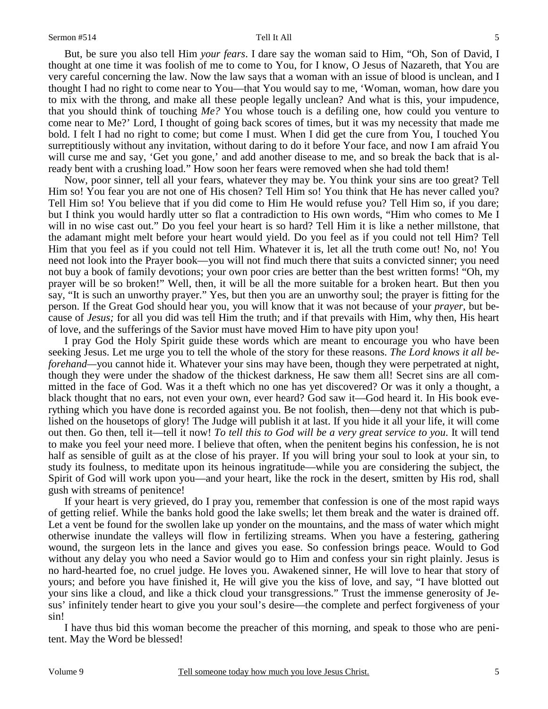But, be sure you also tell Him *your fears*. I dare say the woman said to Him, "Oh, Son of David, I thought at one time it was foolish of me to come to You, for I know, O Jesus of Nazareth, that You are very careful concerning the law. Now the law says that a woman with an issue of blood is unclean, and I thought I had no right to come near to You—that You would say to me, 'Woman, woman, how dare you to mix with the throng, and make all these people legally unclean? And what is this, your impudence, that you should think of touching *Me?* You whose touch is a defiling one, how could you venture to come near to Me?' Lord, I thought of going back scores of times, but it was my necessity that made me bold. I felt I had no right to come; but come I must. When I did get the cure from You, I touched You surreptitiously without any invitation, without daring to do it before Your face, and now I am afraid You will curse me and say, 'Get you gone,' and add another disease to me, and so break the back that is already bent with a crushing load." How soon her fears were removed when she had told them!

Now, poor sinner, tell all your fears, whatever they may be. You think your sins are too great? Tell Him so! You fear you are not one of His chosen? Tell Him so! You think that He has never called you? Tell Him so! You believe that if you did come to Him He would refuse you? Tell Him so, if you dare; but I think you would hardly utter so flat a contradiction to His own words, "Him who comes to Me I will in no wise cast out." Do you feel your heart is so hard? Tell Him it is like a nether millstone, that the adamant might melt before your heart would yield. Do you feel as if you could not tell Him? Tell Him that you feel as if you could not tell Him. Whatever it is, let all the truth come out! No, no! You need not look into the Prayer book—you will not find much there that suits a convicted sinner; you need not buy a book of family devotions; your own poor cries are better than the best written forms! "Oh, my prayer will be so broken!" Well, then, it will be all the more suitable for a broken heart. But then you say, "It is such an unworthy prayer." Yes, but then you are an unworthy soul; the prayer is fitting for the person. If the Great God should hear you, you will know that it was not because of your *prayer,* but because of *Jesus;* for all you did was tell Him the truth; and if that prevails with Him, why then, His heart of love, and the sufferings of the Savior must have moved Him to have pity upon you!

I pray God the Holy Spirit guide these words which are meant to encourage you who have been seeking Jesus. Let me urge you to tell the whole of the story for these reasons. *The Lord knows it all beforehand—you cannot hide it.* Whatever your sins may have been, though they were perpetrated at night, though they were under the shadow of the thickest darkness, He saw them all! Secret sins are all committed in the face of God. Was it a theft which no one has yet discovered? Or was it only a thought, a black thought that no ears, not even your own, ever heard? God saw it—God heard it. In His book everything which you have done is recorded against you. Be not foolish, then—deny not that which is published on the housetops of glory! The Judge will publish it at last. If you hide it all your life, it will come out then. Go then, tell it—tell it now! *To tell this to God will be a very great service to you*. It will tend to make you feel your need more. I believe that often, when the penitent begins his confession, he is not half as sensible of guilt as at the close of his prayer. If you will bring your soul to look at your sin, to study its foulness, to meditate upon its heinous ingratitude—while you are considering the subject, the Spirit of God will work upon you—and your heart, like the rock in the desert, smitten by His rod, shall gush with streams of penitence!

If your heart is very grieved, do I pray you, remember that confession is one of the most rapid ways of getting relief. While the banks hold good the lake swells; let them break and the water is drained off. Let a vent be found for the swollen lake up yonder on the mountains, and the mass of water which might otherwise inundate the valleys will flow in fertilizing streams. When you have a festering, gathering wound, the surgeon lets in the lance and gives you ease. So confession brings peace. Would to God without any delay you who need a Savior would go to Him and confess your sin right plainly. Jesus is no hard-hearted foe, no cruel judge. He loves you. Awakened sinner, He will love to hear that story of yours; and before you have finished it, He will give you the kiss of love, and say, "I have blotted out your sins like a cloud, and like a thick cloud your transgressions." Trust the immense generosity of Jesus' infinitely tender heart to give you your soul's desire—the complete and perfect forgiveness of your sin!

I have thus bid this woman become the preacher of this morning, and speak to those who are penitent. May the Word be blessed!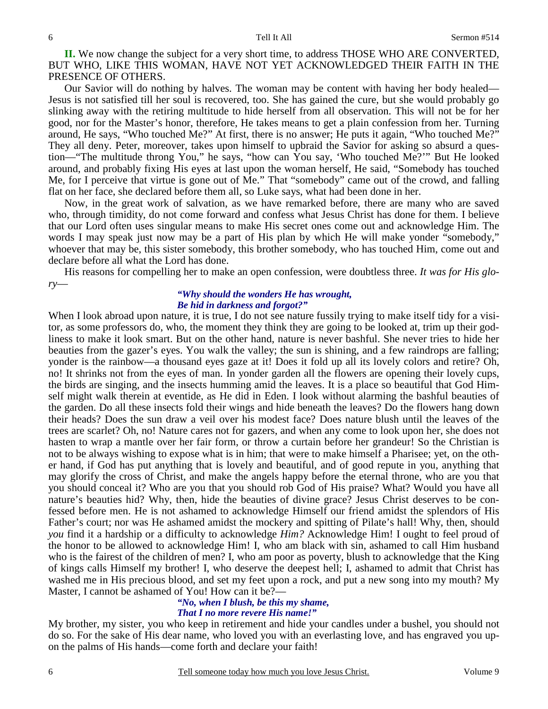**II.** We now change the subject for a very short time, to address THOSE WHO ARE CONVERTED, BUT WHO, LIKE THIS WOMAN, HAVE NOT YET ACKNOWLEDGED THEIR FAITH IN THE PRESENCE OF OTHERS.

Our Savior will do nothing by halves. The woman may be content with having her body healed— Jesus is not satisfied till her soul is recovered, too. She has gained the cure, but she would probably go slinking away with the retiring multitude to hide herself from all observation. This will not be for her good, nor for the Master's honor, therefore, He takes means to get a plain confession from her. Turning around, He says, "Who touched Me?" At first, there is no answer; He puts it again, "Who touched Me?" They all deny. Peter, moreover, takes upon himself to upbraid the Savior for asking so absurd a question—"The multitude throng You," he says, "how can You say, 'Who touched Me?'" But He looked around, and probably fixing His eyes at last upon the woman herself, He said, "Somebody has touched Me, for I perceive that virtue is gone out of Me." That "somebody" came out of the crowd, and falling flat on her face, she declared before them all, so Luke says, what had been done in her.

Now, in the great work of salvation, as we have remarked before, there are many who are saved who, through timidity, do not come forward and confess what Jesus Christ has done for them. I believe that our Lord often uses singular means to make His secret ones come out and acknowledge Him. The words I may speak just now may be a part of His plan by which He will make yonder "somebody," whoever that may be, this sister somebody, this brother somebody, who has touched Him, come out and declare before all what the Lord has done.

His reasons for compelling her to make an open confession, were doubtless three. *It was for His glory*—

### *"Why should the wonders He has wrought, Be hid in darkness and forgot?"*

When I look abroad upon nature, it is true, I do not see nature fussily trying to make itself tidy for a visitor, as some professors do, who, the moment they think they are going to be looked at, trim up their godliness to make it look smart. But on the other hand, nature is never bashful. She never tries to hide her beauties from the gazer's eyes. You walk the valley; the sun is shining, and a few raindrops are falling; yonder is the rainbow—a thousand eyes gaze at it! Does it fold up all its lovely colors and retire? Oh, no! It shrinks not from the eyes of man. In yonder garden all the flowers are opening their lovely cups, the birds are singing, and the insects humming amid the leaves. It is a place so beautiful that God Himself might walk therein at eventide, as He did in Eden. I look without alarming the bashful beauties of the garden. Do all these insects fold their wings and hide beneath the leaves? Do the flowers hang down their heads? Does the sun draw a veil over his modest face? Does nature blush until the leaves of the trees are scarlet? Oh, no! Nature cares not for gazers, and when any come to look upon her, she does not hasten to wrap a mantle over her fair form, or throw a curtain before her grandeur! So the Christian is not to be always wishing to expose what is in him; that were to make himself a Pharisee; yet, on the other hand, if God has put anything that is lovely and beautiful, and of good repute in you, anything that may glorify the cross of Christ, and make the angels happy before the eternal throne, who are you that you should conceal it? Who are you that you should rob God of His praise? What? Would you have all nature's beauties hid? Why, then, hide the beauties of divine grace? Jesus Christ deserves to be confessed before men. He is not ashamed to acknowledge Himself our friend amidst the splendors of His Father's court; nor was He ashamed amidst the mockery and spitting of Pilate's hall! Why, then, should *you* find it a hardship or a difficulty to acknowledge *Him?* Acknowledge Him! I ought to feel proud of the honor to be allowed to acknowledge Him! I, who am black with sin, ashamed to call Him husband who is the fairest of the children of men? I, who am poor as poverty, blush to acknowledge that the King of kings calls Himself my brother! I, who deserve the deepest hell; I, ashamed to admit that Christ has washed me in His precious blood, and set my feet upon a rock, and put a new song into my mouth? My Master, I cannot be ashamed of You! How can it be?—

### *"No, when I blush, be this my shame, That I no more revere His name!"*

My brother, my sister, you who keep in retirement and hide your candles under a bushel, you should not do so. For the sake of His dear name, who loved you with an everlasting love, and has engraved you upon the palms of His hands—come forth and declare your faith!

6

6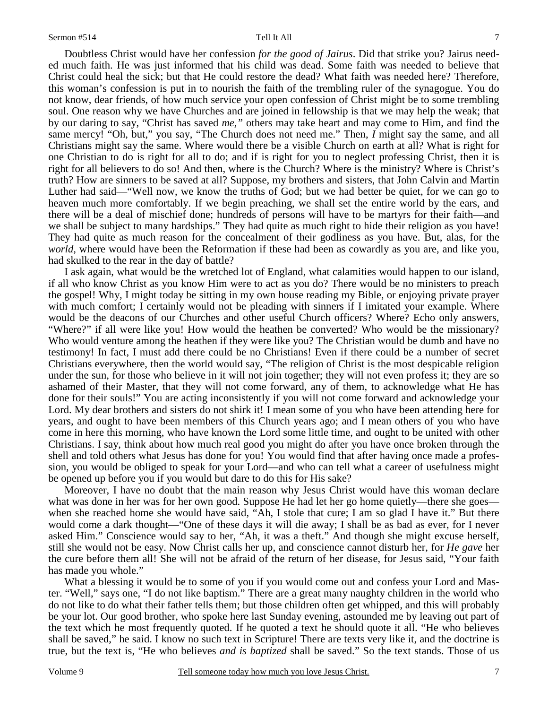7

Doubtless Christ would have her confession *for the good of Jairus*. Did that strike you? Jairus needed much faith. He was just informed that his child was dead. Some faith was needed to believe that Christ could heal the sick; but that He could restore the dead? What faith was needed here? Therefore, this woman's confession is put in to nourish the faith of the trembling ruler of the synagogue. You do not know, dear friends, of how much service your open confession of Christ might be to some trembling soul. One reason why we have Churches and are joined in fellowship is that we may help the weak; that by our daring to say, "Christ has saved *me,"* others may take heart and may come to Him, and find the same mercy! "Oh, but," you say, "The Church does not need me." Then, *I* might say the same, and all Christians might say the same. Where would there be a visible Church on earth at all? What is right for one Christian to do is right for all to do; and if is right for you to neglect professing Christ, then it is right for all believers to do so! And then, where is the Church? Where is the ministry? Where is Christ's truth? How are sinners to be saved at all? Suppose, my brothers and sisters, that John Calvin and Martin Luther had said—"Well now, we know the truths of God; but we had better be quiet, for we can go to heaven much more comfortably. If we begin preaching, we shall set the entire world by the ears, and there will be a deal of mischief done; hundreds of persons will have to be martyrs for their faith—and we shall be subject to many hardships." They had quite as much right to hide their religion as you have! They had quite as much reason for the concealment of their godliness as you have. But, alas, for the *world,* where would have been the Reformation if these had been as cowardly as you are, and like you, had skulked to the rear in the day of battle?

I ask again, what would be the wretched lot of England, what calamities would happen to our island, if all who know Christ as you know Him were to act as you do? There would be no ministers to preach the gospel! Why, I might today be sitting in my own house reading my Bible, or enjoying private prayer with much comfort; I certainly would not be pleading with sinners if I imitated your example. Where would be the deacons of our Churches and other useful Church officers? Where? Echo only answers, "Where?" if all were like you! How would the heathen be converted? Who would be the missionary? Who would venture among the heathen if they were like you? The Christian would be dumb and have no testimony! In fact, I must add there could be no Christians! Even if there could be a number of secret Christians everywhere, then the world would say, "The religion of Christ is the most despicable religion under the sun, for those who believe in it will not join together; they will not even profess it; they are so ashamed of their Master, that they will not come forward, any of them, to acknowledge what He has done for their souls!" You are acting inconsistently if you will not come forward and acknowledge your Lord. My dear brothers and sisters do not shirk it! I mean some of you who have been attending here for years, and ought to have been members of this Church years ago; and I mean others of you who have come in here this morning, who have known the Lord some little time, and ought to be united with other Christians. I say, think about how much real good you might do after you have once broken through the shell and told others what Jesus has done for you! You would find that after having once made a profession, you would be obliged to speak for your Lord—and who can tell what a career of usefulness might be opened up before you if you would but dare to do this for His sake?

Moreover, I have no doubt that the main reason why Jesus Christ would have this woman declare what was done in her was for her own good. Suppose He had let her go home quietly—there she goes when she reached home she would have said, "Ah, I stole that cure; I am so glad I have it." But there would come a dark thought—"One of these days it will die away; I shall be as bad as ever, for I never asked Him." Conscience would say to her, "Ah, it was a theft." And though she might excuse herself, still she would not be easy. Now Christ calls her up, and conscience cannot disturb her, for *He gave* her the cure before them all! She will not be afraid of the return of her disease, for Jesus said, "Your faith has made you whole."

What a blessing it would be to some of you if you would come out and confess your Lord and Master. "Well," says one, "I do not like baptism." There are a great many naughty children in the world who do not like to do what their father tells them; but those children often get whipped, and this will probably be your lot. Our good brother, who spoke here last Sunday evening, astounded me by leaving out part of the text which he most frequently quoted. If he quoted a text he should quote it all. "He who believes shall be saved," he said. I know no such text in Scripture! There are texts very like it, and the doctrine is true, but the text is, "He who believes *and is baptized* shall be saved." So the text stands. Those of us